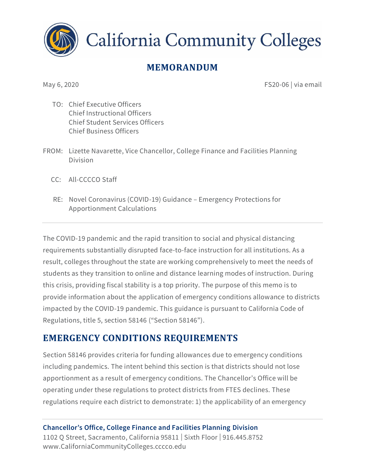

**California Community Colleges** 

### **MEMORANDUM**

May 6, 2020 **FS20-06** | via email

- TO: Chief Executive Officers Chief Instructional Officers Chief Student Services Officers Chief Business Officers
- FROM: Lizette Navarette, Vice Chancellor, College Finance and Facilities Planning Division
	- CC: All-CCCCO Staff
	- RE: Novel Coronavirus (COVID-19) Guidance Emergency Protections for Apportionment Calculations

The COVID-19 pandemic and the rapid transition to social and physical distancing requirements substantially disrupted face-to-face instruction for all institutions. As a result, colleges throughout the state are working comprehensively to meet the needs of students as they transition to online and distance learning modes of instruction. During this crisis, providing fiscal stability is a top priority. The purpose of this memo is to provide information about the application of emergency conditions allowance to districts impacted by the COVID-19 pandemic. This guidance is pursuant to California Code of Regulations, title 5, section 58146 ("Section 58146").

# **EMERGENCY CONDITIONS REQUIREMENTS**

Section 58146 provides criteria for funding allowances due to emergency conditions including pandemics. The intent behind this section is that districts should not lose apportionment as a result of emergency conditions. The Chancellor's Office will be operating under these regulations to protect districts from FTES declines. These regulations require each district to demonstrate: 1) the applicability of an emergency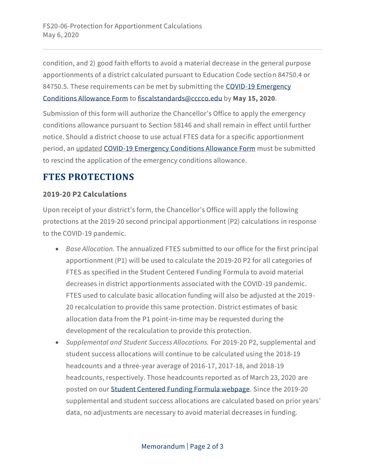condition, and 2) good faith efforts to avoid a material decrease in the general purpose apportionments of a district calculated pursuant to Education Code section 84750.4 or 84750.5. These requirements can be met by submitting the COVID-19 Emergency [Conditions Allowance](https://www.cccco.edu/-/media/CCCCO-Website/College-Finance-and-Facilities/Emergency-Preparedness/COVID-19-Emergency-Conditions-Allowance-Form.pdf?la=en&hash=DCCC742507879577764619ACE6E458910C854040) Form to [fiscalstandards@cccco.edu](mailto:fiscalstandards@cccco.edu) by **May 15, 2020**.

Submission of this form will authorize the Chancellor's Office to apply the emergency conditions allowance pursuant to Section 58146 and shall remain in effect until further notice. Should a district choose to use actual FTES data for a specific apportionment period, an updated COVID-19 Emergency [Conditions Allowance Form](https://www.cccco.edu/-/media/CCCCO-Website/College-Finance-and-Facilities/Emergency-Preparedness/COVID-19-Emergency-Conditions-Allowance-Form.pdf?la=en&hash=DCCC742507879577764619ACE6E458910C854040) must be submitted to rescind the application of the emergency conditions allowance.

### **FTES PROTECTIONS**

#### **2019-20 P2 Calculations**

Upon receipt of your district's form, the Chancellor's Office will apply the following protections at the 2019-20 second principal apportionment (P2) calculations in response to the COVID-19 pandemic.

- *Base Allocation.* The annualized FTES submitted to our office for the first principal apportionment (P1) will be used to calculate the 2019-20 P2 for all categories of FTES as specified in the Student Centered Funding Formula to avoid material decreases in district apportionments associated with the COVID-19 pandemic. FTES used to calculate basic allocation funding will also be adjusted at the 2019- 20 recalculation to provide this same protection. District estimates of basic allocation data from the P1 point-in-time may be requested during the development of the recalculation to provide this protection.
- *Supplemental and Student Success Allocations.* For 2019-20 P2, supplemental and student success allocations will continue to be calculated using the 2018-19 headcounts and a three-year average of 2016-17, 2017-18, and 2018-19 headcounts, respectively. Those headcounts reported as of March 23, 2020 are posted on our [Student Centered Funding Formula webpage.](https://www.cccco.edu/About-Us/Chancellors-Office/Divisions/College-Finance-and-Facilities-Planning/Student-Centered-Funding-Formula) Since the 2019-20 supplemental and student success allocations are calculated based on prior years' data, no adjustments are necessary to avoid material decreases in funding.